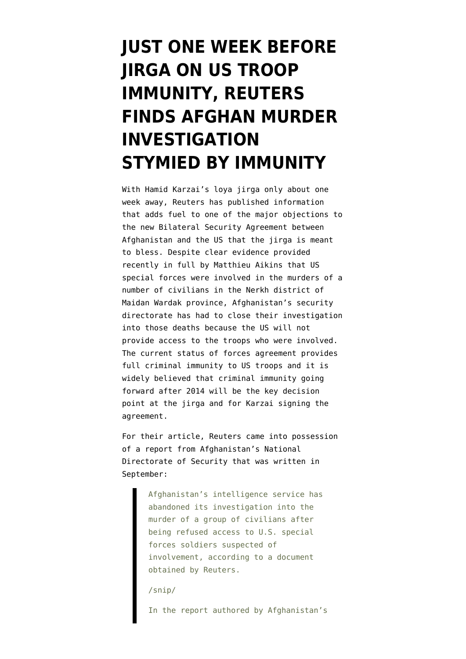## **[JUST ONE WEEK BEFORE](https://www.emptywheel.net/2013/11/12/just-one-week-before-jirga-on-us-troop-immunity-reuters-finds-afghan-murder-investigation-stymied-by-immunity/) [JIRGA ON US TROOP](https://www.emptywheel.net/2013/11/12/just-one-week-before-jirga-on-us-troop-immunity-reuters-finds-afghan-murder-investigation-stymied-by-immunity/) [IMMUNITY, REUTERS](https://www.emptywheel.net/2013/11/12/just-one-week-before-jirga-on-us-troop-immunity-reuters-finds-afghan-murder-investigation-stymied-by-immunity/) [FINDS AFGHAN MURDER](https://www.emptywheel.net/2013/11/12/just-one-week-before-jirga-on-us-troop-immunity-reuters-finds-afghan-murder-investigation-stymied-by-immunity/) [INVESTIGATION](https://www.emptywheel.net/2013/11/12/just-one-week-before-jirga-on-us-troop-immunity-reuters-finds-afghan-murder-investigation-stymied-by-immunity/) [STYMIED BY IMMUNITY](https://www.emptywheel.net/2013/11/12/just-one-week-before-jirga-on-us-troop-immunity-reuters-finds-afghan-murder-investigation-stymied-by-immunity/)**

With [Hamid Karzai's loya jirga](http://www.theguardian.com/world/2013/oct/19/afghanistan-loya-jirga-us-troops-2014) only about one week away, [Reuters has published](http://www.reuters.com/article/2013/11/12/us-afghanistan-usa-idUSBRE9AB05A20131112) information that adds fuel to one of the major objections to the new Bilateral Security Agreement between Afghanistan and the US that the jirga is meant to bless. Despite [clear evidence provided](http://www.rollingstone.com/feature/a-team-killings-afghanistan-special-forces) [recently in full by Matthieu Aikins](http://www.rollingstone.com/feature/a-team-killings-afghanistan-special-forces) that US special forces were involved in the murders of a number of civilians in the [Nerkh district](http://www.emptywheel.net/tag/nerkh-district/) of Maidan Wardak province, Afghanistan's security directorate has had to close their investigation into those deaths because the US will not provide access to the troops who were involved. The current status of forces agreement provides full criminal immunity to US troops and it is widely believed that criminal immunity going forward after 2014 will be the key decision point at the jirga and for Karzai signing the agreement.

For their article, Reuters came into possession of a report from Afghanistan's National Directorate of Security that was written in September:

> Afghanistan's intelligence service has abandoned its investigation into the murder of a group of civilians after being refused access to U.S. special forces soldiers suspected of involvement, according to a document obtained by Reuters.

/snip/

In the report authored by Afghanistan's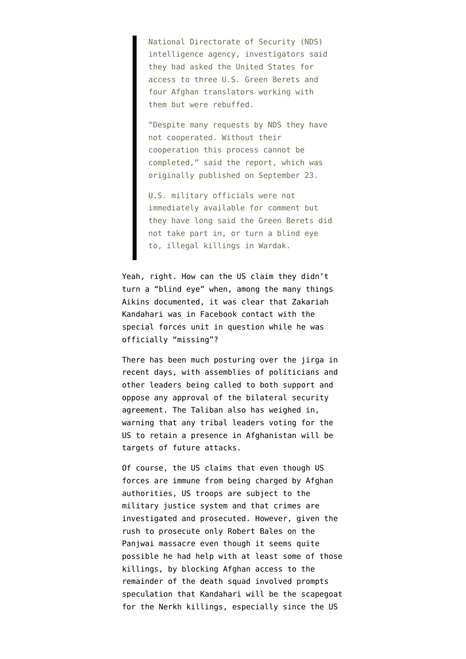National Directorate of Security (NDS) intelligence agency, investigators said they had asked the United States for access to three U.S. Green Berets and four Afghan translators working with them but were rebuffed.

"Despite many requests by NDS they have not cooperated. Without their cooperation this process cannot be completed," said the report, which was originally published on September 23.

U.S. military officials were not immediately available for comment but they have long said the Green Berets did not take part in, or turn a blind eye to, illegal killings in Wardak.

Yeah, right. How can the US claim they didn't turn a "blind eye" when, among the many things Aikins documented, it was clear that [Zakariah](http://www.emptywheel.net/2013/11/07/aikens-in-rolling-stone-zakaria-kandahari-was-in-facebook-contact-with-special-forces-after-escaping-arrest/) [Kandahari was in Facebook contact with the](http://www.emptywheel.net/2013/11/07/aikens-in-rolling-stone-zakaria-kandahari-was-in-facebook-contact-with-special-forces-after-escaping-arrest/) [special forces unit in question](http://www.emptywheel.net/2013/11/07/aikens-in-rolling-stone-zakaria-kandahari-was-in-facebook-contact-with-special-forces-after-escaping-arrest/) while he was officially "missing"?

There has been much posturing over the jirga in recent days, with assemblies of politicians and other leaders being called to both [support](http://www.tolonews.com/en/afghanistan/12558-political-party-organizes-rally-to-support-loya-jirga) and [oppose](http://www.tolonews.com/en/afghanistan/12549-tribal-elders-oppose-jirga-and-bsa) any approval of the bilateral security agreement. The [Taliban also has weighed in](http://www.tolonews.com/en/afghanistan/12555-taliban-condemns-loya-jirga-threatens-participants), warning that any tribal leaders voting for the US to retain a presence in Afghanistan will be targets of future attacks.

Of course, the US claims that even though US forces are immune from being charged by Afghan authorities, US troops are subject to the military justice system and that crimes are investigated and prosecuted. However, given the rush to prosecute only Robert Bales on the Panjwai massacre even though it seems [quite](http://www.emptywheel.net/2012/03/31/panjwai-was-there-one-killer-at-alkozai-but-multiple-at-najiban/) [possible he had help with at least some of those](http://www.emptywheel.net/2012/03/31/panjwai-was-there-one-killer-at-alkozai-but-multiple-at-najiban/) [killings,](http://www.emptywheel.net/2012/03/31/panjwai-was-there-one-killer-at-alkozai-but-multiple-at-najiban/) by blocking Afghan access to the remainder of the death squad involved prompts speculation that Kandahari will be the scapegoat for the Nerkh killings, especially since the US